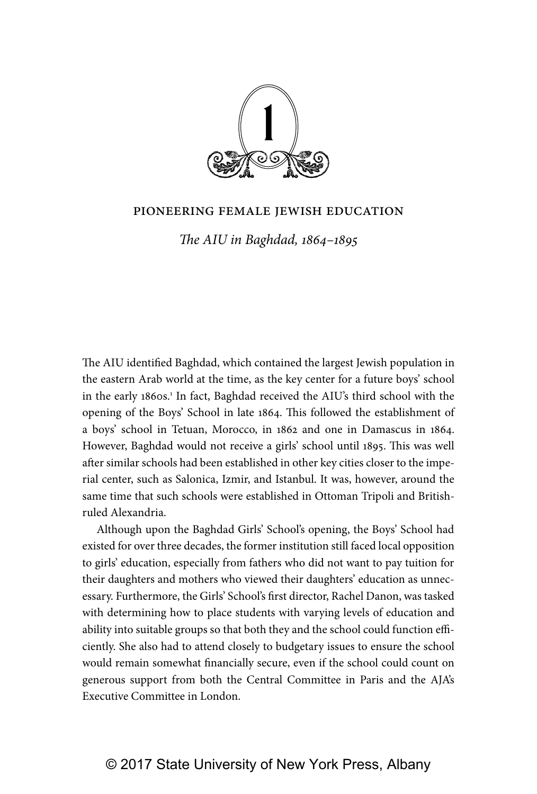

### Pioneering Female Jewish Education

*The AIU in Baghdad, 1864–1895*

The AIU identified Baghdad, which contained the largest Jewish population in the eastern Arab world at the time, as the key center for a future boys' school in the early 1860s.<sup>1</sup> In fact, Baghdad received the AIU's third school with the opening of the Boys' School in late 1864. This followed the establishment of a boys' school in Tetuan, Morocco, in 1862 and one in Damascus in 1864. However, Baghdad would not receive a girls' school until 1895. This was well after similar schools had been established in other key cities closer to the imperial center, such as Salonica, Izmir, and Istanbul. It was, however, around the same time that such schools were established in Ottoman Tripoli and Britishruled Alexandria.

Although upon the Baghdad Girls' School's opening, the Boys' School had existed for over three decades, the former institution still faced local opposition to girls' education, especially from fathers who did not want to pay tuition for their daughters and mothers who viewed their daughters' education as unnecessary. Furthermore, the Girls' School's first director, Rachel Danon, was tasked with determining how to place students with varying levels of education and ability into suitable groups so that both they and the school could function efficiently. She also had to attend closely to budgetary issues to ensure the school would remain somewhat financially secure, even if the school could count on generous support from both the Central Committee in Paris and the AJA's Executive Committee in London.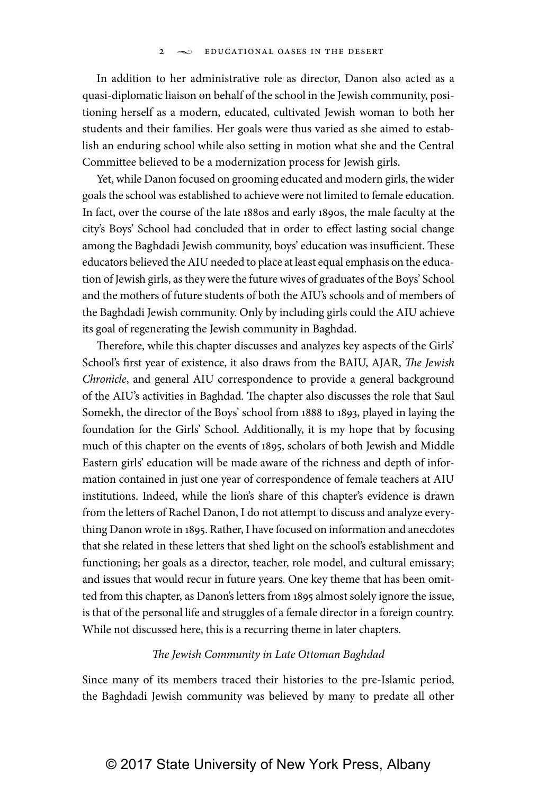In addition to her administrative role as director, Danon also acted as a quasi-diplomatic liaison on behalf of the school in the Jewish community, positioning herself as a modern, educated, cultivated Jewish woman to both her students and their families. Her goals were thus varied as she aimed to establish an enduring school while also setting in motion what she and the Central Committee believed to be a modernization process for Jewish girls.

Yet, while Danon focused on grooming educated and modern girls, the wider goals the school was established to achieve were not limited to female education. In fact, over the course of the late 1880s and early 1890s, the male faculty at the city's Boys' School had concluded that in order to effect lasting social change among the Baghdadi Jewish community, boys' education was insufficient. These educators believed the AIU needed to place at least equal emphasis on the education of Jewish girls, as they were the future wives of graduates of the Boys' School and the mothers of future students of both the AIU's schools and of members of the Baghdadi Jewish community. Only by including girls could the AIU achieve its goal of regenerating the Jewish community in Baghdad.

Therefore, while this chapter discusses and analyzes key aspects of the Girls' School's first year of existence, it also draws from the BAIU, AJAR, *The Jewish Chronicle*, and general AIU correspondence to provide a general background of the AIU's activities in Baghdad. The chapter also discusses the role that Saul Somekh, the director of the Boys' school from 1888 to 1893, played in laying the foundation for the Girls' School. Additionally, it is my hope that by focusing much of this chapter on the events of 1895, scholars of both Jewish and Middle Eastern girls' education will be made aware of the richness and depth of information contained in just one year of correspondence of female teachers at AIU institutions. Indeed, while the lion's share of this chapter's evidence is drawn from the letters of Rachel Danon, I do not attempt to discuss and analyze everything Danon wrote in 1895. Rather, I have focused on information and anecdotes that she related in these letters that shed light on the school's establishment and functioning; her goals as a director, teacher, role model, and cultural emissary; and issues that would recur in future years. One key theme that has been omitted from this chapter, as Danon's letters from 1895 almost solely ignore the issue, is that of the personal life and struggles of a female director in a foreign country. While not discussed here, this is a recurring theme in later chapters.

#### *The Jewish Community in Late Ottoman Baghdad*

Since many of its members traced their histories to the pre-Islamic period, the Baghdadi Jewish community was believed by many to predate all other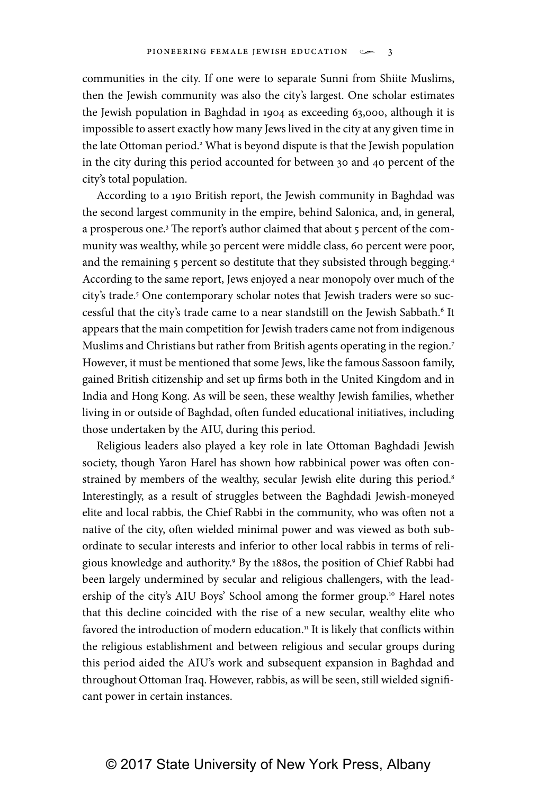communities in the city. If one were to separate Sunni from Shiite Muslims, then the Jewish community was also the city's largest. One scholar estimates the Jewish population in Baghdad in 1904 as exceeding 63,000, although it is impossible to assert exactly how many Jews lived in the city at any given time in the late Ottoman period.<sup>2</sup> What is beyond dispute is that the Jewish population in the city during this period accounted for between 30 and 40 percent of the city's total population.

According to a 1910 British report, the Jewish community in Baghdad was the second largest community in the empire, behind Salonica, and, in general, a prosperous one.<sup>3</sup> The report's author claimed that about 5 percent of the community was wealthy, while 30 percent were middle class, 60 percent were poor, and the remaining 5 percent so destitute that they subsisted through begging.<sup>4</sup> According to the same report, Jews enjoyed a near monopoly over much of the city's trade.<sup>5</sup> One contemporary scholar notes that Jewish traders were so successful that the city's trade came to a near standstill on the Jewish Sabbath.<sup>6</sup> It appears that the main competition for Jewish traders came not from indigenous Muslims and Christians but rather from British agents operating in the region.7 However, it must be mentioned that some Jews, like the famous Sassoon family, gained British citizenship and set up firms both in the United Kingdom and in India and Hong Kong. As will be seen, these wealthy Jewish families, whether living in or outside of Baghdad, often funded educational initiatives, including those undertaken by the AIU, during this period.

Religious leaders also played a key role in late Ottoman Baghdadi Jewish society, though Yaron Harel has shown how rabbinical power was often constrained by members of the wealthy, secular Jewish elite during this period.<sup>8</sup> Interestingly, as a result of struggles between the Baghdadi Jewish-moneyed elite and local rabbis, the Chief Rabbi in the community, who was often not a native of the city, often wielded minimal power and was viewed as both subordinate to secular interests and inferior to other local rabbis in terms of religious knowledge and authority.9 By the 1880s, the position of Chief Rabbi had been largely undermined by secular and religious challengers, with the leadership of the city's AIU Boys' School among the former group.<sup>10</sup> Harel notes that this decline coincided with the rise of a new secular, wealthy elite who favored the introduction of modern education.<sup>11</sup> It is likely that conflicts within the religious establishment and between religious and secular groups during this period aided the AIU's work and subsequent expansion in Baghdad and throughout Ottoman Iraq. However, rabbis, as will be seen, still wielded significant power in certain instances.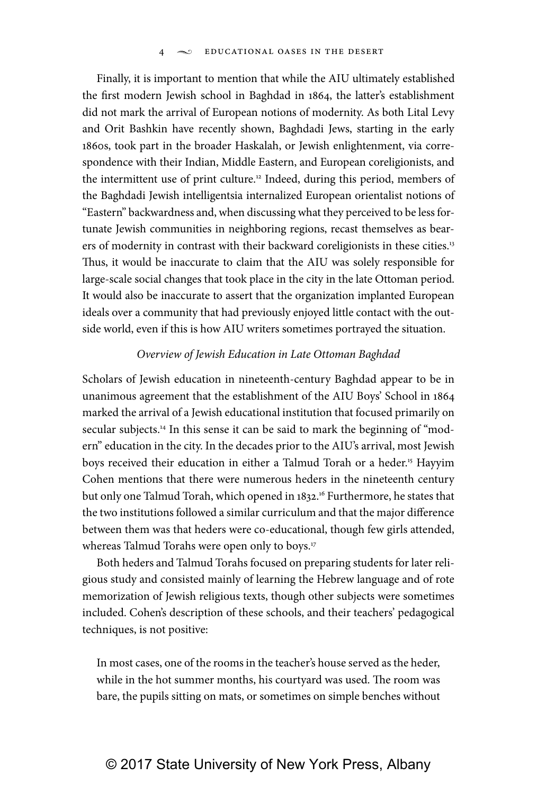Finally, it is important to mention that while the AIU ultimately established the first modern Jewish school in Baghdad in 1864, the latter's establishment did not mark the arrival of European notions of modernity. As both Lital Levy and Orit Bashkin have recently shown, Baghdadi Jews, starting in the early 1860s, took part in the broader Haskalah, or Jewish enlightenment, via correspondence with their Indian, Middle Eastern, and European coreligionists, and the intermittent use of print culture.<sup>12</sup> Indeed, during this period, members of the Baghdadi Jewish intelligentsia internalized European orientalist notions of "Eastern" backwardness and, when discussing what they perceived to be less fortunate Jewish communities in neighboring regions, recast themselves as bearers of modernity in contrast with their backward coreligionists in these cities.<sup>13</sup> Thus, it would be inaccurate to claim that the AIU was solely responsible for large-scale social changes that took place in the city in the late Ottoman period. It would also be inaccurate to assert that the organization implanted European ideals over a community that had previously enjoyed little contact with the outside world, even if this is how AIU writers sometimes portrayed the situation.

### *Overview of Jewish Education in Late Ottoman Baghdad*

Scholars of Jewish education in nineteenth-century Baghdad appear to be in unanimous agreement that the establishment of the AIU Boys' School in 1864 marked the arrival of a Jewish educational institution that focused primarily on secular subjects.<sup>14</sup> In this sense it can be said to mark the beginning of "modern" education in the city. In the decades prior to the AIU's arrival, most Jewish boys received their education in either a Talmud Torah or a heder.<sup>15</sup> Hayyim Cohen mentions that there were numerous heders in the nineteenth century but only one Talmud Torah, which opened in 1832.<sup>16</sup> Furthermore, he states that the two institutions followed a similar curriculum and that the major difference between them was that heders were co-educational, though few girls attended, whereas Talmud Torahs were open only to boys.<sup>17</sup>

Both heders and Talmud Torahs focused on preparing students for later religious study and consisted mainly of learning the Hebrew language and of rote memorization of Jewish religious texts, though other subjects were sometimes included. Cohen's description of these schools, and their teachers' pedagogical techniques, is not positive:

In most cases, one of the rooms in the teacher's house served as the heder, while in the hot summer months, his courtyard was used. The room was bare, the pupils sitting on mats, or sometimes on simple benches without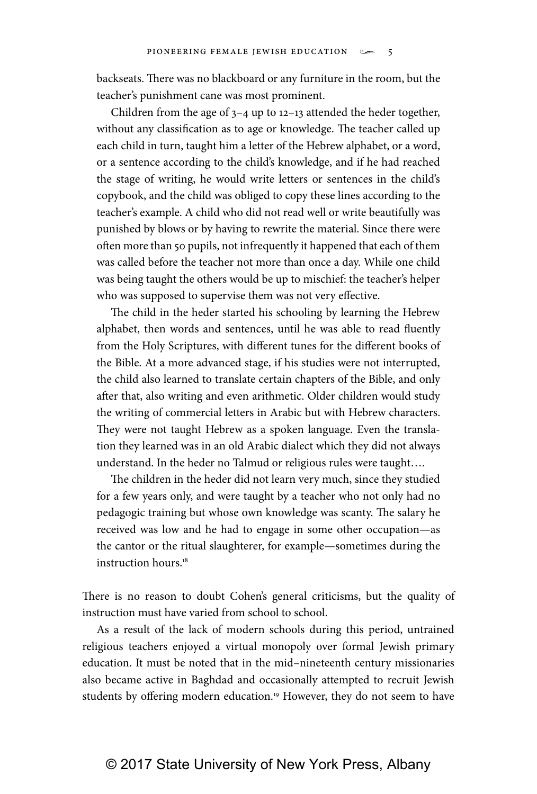backseats. There was no blackboard or any furniture in the room, but the teacher's punishment cane was most prominent.

Children from the age of 3–4 up to 12–13 attended the heder together, without any classification as to age or knowledge. The teacher called up each child in turn, taught him a letter of the Hebrew alphabet, or a word, or a sentence according to the child's knowledge, and if he had reached the stage of writing, he would write letters or sentences in the child's copybook, and the child was obliged to copy these lines according to the teacher's example. A child who did not read well or write beautifully was punished by blows or by having to rewrite the material. Since there were often more than 50 pupils, not infrequently it happened that each of them was called before the teacher not more than once a day. While one child was being taught the others would be up to mischief: the teacher's helper who was supposed to supervise them was not very effective.

The child in the heder started his schooling by learning the Hebrew alphabet, then words and sentences, until he was able to read fluently from the Holy Scriptures, with different tunes for the different books of the Bible. At a more advanced stage, if his studies were not interrupted, the child also learned to translate certain chapters of the Bible, and only after that, also writing and even arithmetic. Older children would study the writing of commercial letters in Arabic but with Hebrew characters. They were not taught Hebrew as a spoken language. Even the translation they learned was in an old Arabic dialect which they did not always understand. In the heder no Talmud or religious rules were taught….

The children in the heder did not learn very much, since they studied for a few years only, and were taught by a teacher who not only had no pedagogic training but whose own knowledge was scanty. The salary he received was low and he had to engage in some other occupation—as the cantor or the ritual slaughterer, for example—sometimes during the instruction hours.<sup>18</sup>

There is no reason to doubt Cohen's general criticisms, but the quality of instruction must have varied from school to school.

As a result of the lack of modern schools during this period, untrained religious teachers enjoyed a virtual monopoly over formal Jewish primary education. It must be noted that in the mid–nineteenth century missionaries also became active in Baghdad and occasionally attempted to recruit Jewish students by offering modern education.<sup>19</sup> However, they do not seem to have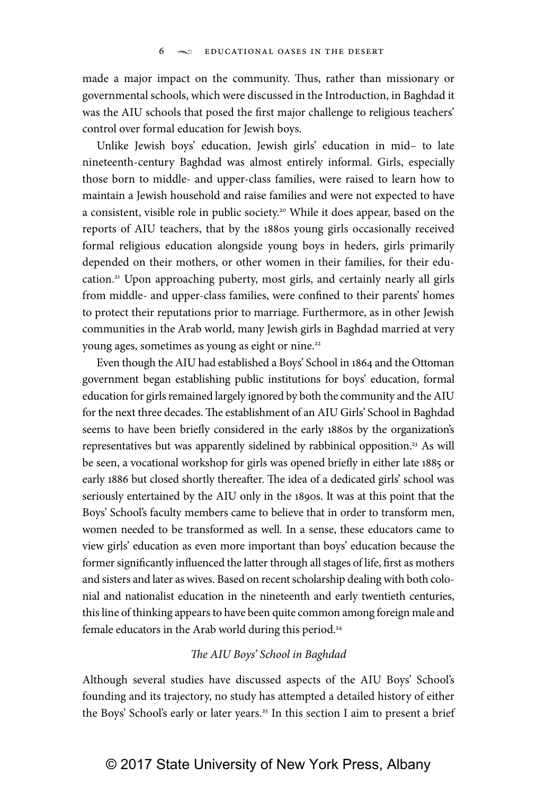made a major impact on the community. Thus, rather than missionary or governmental schools, which were discussed in the Introduction, in Baghdad it was the AIU schools that posed the first major challenge to religious teachers' control over formal education for Jewish boys.

Unlike Jewish boys' education, Jewish girls' education in mid– to late nineteenth-century Baghdad was almost entirely informal. Girls, especially those born to middle- and upper-class families, were raised to learn how to maintain a Jewish household and raise families and were not expected to have a consistent, visible role in public society.<sup>20</sup> While it does appear, based on the reports of AIU teachers, that by the 1880s young girls occasionally received formal religious education alongside young boys in heders, girls primarily depended on their mothers, or other women in their families, for their education.21 Upon approaching puberty, most girls, and certainly nearly all girls from middle- and upper-class families, were confined to their parents' homes to protect their reputations prior to marriage. Furthermore, as in other Jewish communities in the Arab world, many Jewish girls in Baghdad married at very young ages, sometimes as young as eight or nine.<sup>22</sup>

Even though the AIU had established a Boys' School in 1864 and the Ottoman government began establishing public institutions for boys' education, formal education for girls remained largely ignored by both the community and the AIU for the next three decades. The establishment of an AIU Girls' School in Baghdad seems to have been briefly considered in the early 1880s by the organization's representatives but was apparently sidelined by rabbinical opposition.<sup>23</sup> As will be seen, a vocational workshop for girls was opened briefly in either late 1885 or early 1886 but closed shortly thereafter. The idea of a dedicated girls' school was seriously entertained by the AIU only in the 1890s. It was at this point that the Boys' School's faculty members came to believe that in order to transform men, women needed to be transformed as well. In a sense, these educators came to view girls' education as even more important than boys' education because the former significantly influenced the latter through all stages of life, first as mothers and sisters and later as wives. Based on recent scholarship dealing with both colonial and nationalist education in the nineteenth and early twentieth centuries, this line of thinking appears to have been quite common among foreign male and female educators in the Arab world during this period.<sup>24</sup>

### *The AIU Boys' School in Baghdad*

Although several studies have discussed aspects of the AIU Boys' School's founding and its trajectory, no study has attempted a detailed history of either the Boys' School's early or later years.<sup>25</sup> In this section I aim to present a brief

### © 2017 State University of New York Press, Albany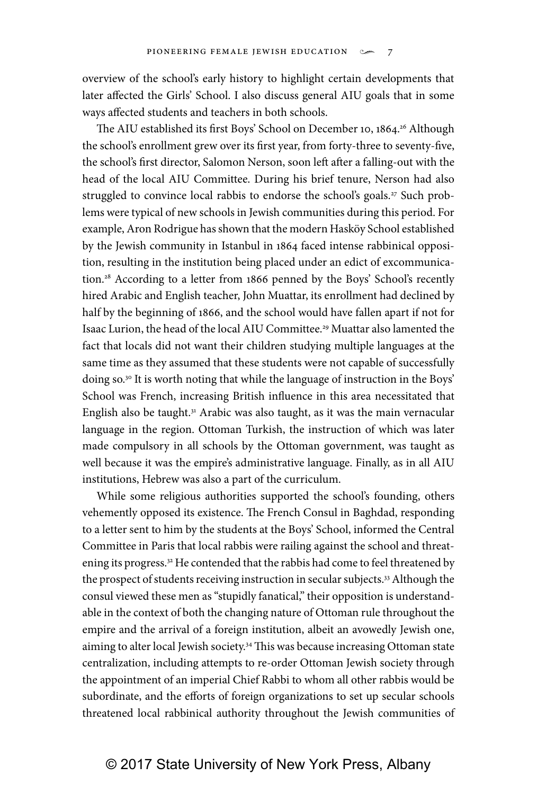overview of the school's early history to highlight certain developments that later affected the Girls' School. I also discuss general AIU goals that in some ways affected students and teachers in both schools.

The AIU established its first Boys' School on December 10, 1864.<sup>26</sup> Although the school's enrollment grew over its first year, from forty-three to seventy-five, the school's first director, Salomon Nerson, soon left after a falling-out with the head of the local AIU Committee. During his brief tenure, Nerson had also struggled to convince local rabbis to endorse the school's goals.<sup>27</sup> Such problems were typical of new schools in Jewish communities during this period. For example, Aron Rodrigue has shown that the modern Hasköy School established by the Jewish community in Istanbul in 1864 faced intense rabbinical opposition, resulting in the institution being placed under an edict of excommunication.<sup>28</sup> According to a letter from 1866 penned by the Boys' School's recently hired Arabic and English teacher, John Muattar, its enrollment had declined by half by the beginning of 1866, and the school would have fallen apart if not for Isaac Lurion, the head of the local AIU Committee.29 Muattar also lamented the fact that locals did not want their children studying multiple languages at the same time as they assumed that these students were not capable of successfully doing so.30 It is worth noting that while the language of instruction in the Boys' School was French, increasing British influence in this area necessitated that English also be taught.<sup>31</sup> Arabic was also taught, as it was the main vernacular language in the region. Ottoman Turkish, the instruction of which was later made compulsory in all schools by the Ottoman government, was taught as well because it was the empire's administrative language. Finally, as in all AIU institutions, Hebrew was also a part of the curriculum.

While some religious authorities supported the school's founding, others vehemently opposed its existence. The French Consul in Baghdad, responding to a letter sent to him by the students at the Boys' School, informed the Central Committee in Paris that local rabbis were railing against the school and threatening its progress.<sup>32</sup> He contended that the rabbis had come to feel threatened by the prospect of students receiving instruction in secular subjects.<sup>33</sup> Although the consul viewed these men as "stupidly fanatical," their opposition is understandable in the context of both the changing nature of Ottoman rule throughout the empire and the arrival of a foreign institution, albeit an avowedly Jewish one, aiming to alter local Jewish society.<sup>34</sup> This was because increasing Ottoman state centralization, including attempts to re-order Ottoman Jewish society through the appointment of an imperial Chief Rabbi to whom all other rabbis would be subordinate, and the efforts of foreign organizations to set up secular schools threatened local rabbinical authority throughout the Jewish communities of

## © 2017 State University of New York Press, Albany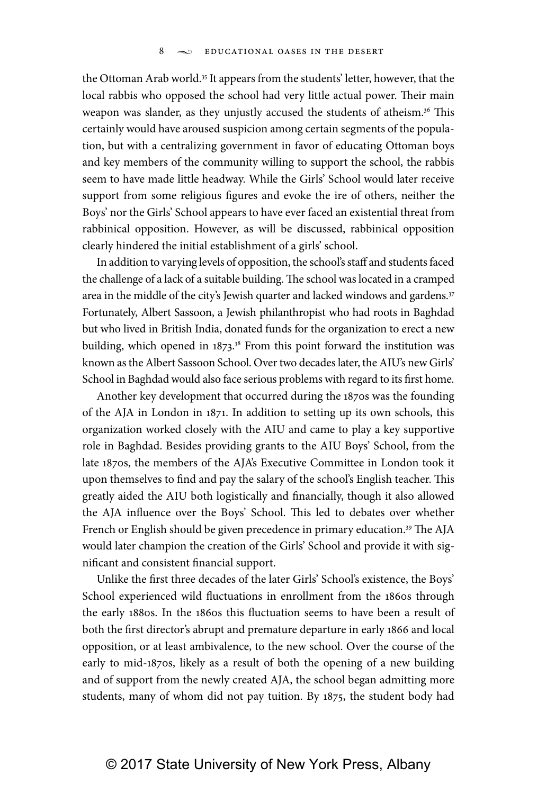the Ottoman Arab world.<sup>35</sup> It appears from the students' letter, however, that the local rabbis who opposed the school had very little actual power. Their main weapon was slander, as they unjustly accused the students of atheism.<sup>36</sup> This certainly would have aroused suspicion among certain segments of the population, but with a centralizing government in favor of educating Ottoman boys and key members of the community willing to support the school, the rabbis seem to have made little headway. While the Girls' School would later receive support from some religious figures and evoke the ire of others, neither the Boys' nor the Girls' School appears to have ever faced an existential threat from rabbinical opposition. However, as will be discussed, rabbinical opposition clearly hindered the initial establishment of a girls' school.

In addition to varying levels of opposition, the school's staff and students faced the challenge of a lack of a suitable building. The school was located in a cramped area in the middle of the city's Jewish quarter and lacked windows and gardens.<sup>37</sup> Fortunately, Albert Sassoon, a Jewish philanthropist who had roots in Baghdad but who lived in British India, donated funds for the organization to erect a new building, which opened in  $1873.^{38}$  From this point forward the institution was known as the Albert Sassoon School. Over two decades later, the AIU's new Girls' School in Baghdad would also face serious problems with regard to its first home.

Another key development that occurred during the 1870s was the founding of the AJA in London in 1871. In addition to setting up its own schools, this organization worked closely with the AIU and came to play a key supportive role in Baghdad. Besides providing grants to the AIU Boys' School, from the late 1870s, the members of the AJA's Executive Committee in London took it upon themselves to find and pay the salary of the school's English teacher. This greatly aided the AIU both logistically and financially, though it also allowed the AJA influence over the Boys' School. This led to debates over whether French or English should be given precedence in primary education.<sup>39</sup> The AJA would later champion the creation of the Girls' School and provide it with significant and consistent financial support.

Unlike the first three decades of the later Girls' School's existence, the Boys' School experienced wild fluctuations in enrollment from the 1860s through the early 1880s. In the 1860s this fluctuation seems to have been a result of both the first director's abrupt and premature departure in early 1866 and local opposition, or at least ambivalence, to the new school. Over the course of the early to mid-1870s, likely as a result of both the opening of a new building and of support from the newly created AJA, the school began admitting more students, many of whom did not pay tuition. By 1875, the student body had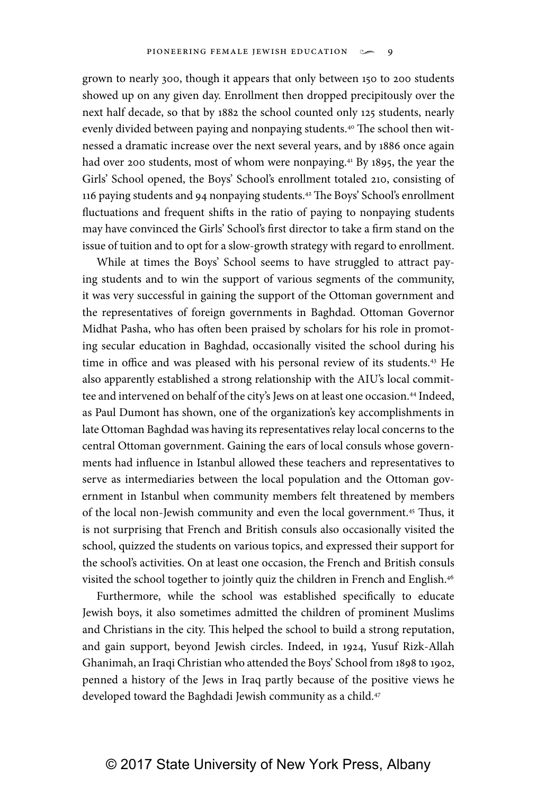grown to nearly 300, though it appears that only between 150 to 200 students showed up on any given day. Enrollment then dropped precipitously over the next half decade, so that by 1882 the school counted only 125 students, nearly evenly divided between paying and nonpaying students.<sup>40</sup> The school then witnessed a dramatic increase over the next several years, and by 1886 once again had over 200 students, most of whom were nonpaying.<sup>41</sup> By 1895, the year the Girls' School opened, the Boys' School's enrollment totaled 210, consisting of 116 paying students and 94 nonpaying students.42 The Boys' School's enrollment fluctuations and frequent shifts in the ratio of paying to nonpaying students may have convinced the Girls' School's first director to take a firm stand on the issue of tuition and to opt for a slow-growth strategy with regard to enrollment.

While at times the Boys' School seems to have struggled to attract paying students and to win the support of various segments of the community, it was very successful in gaining the support of the Ottoman government and the representatives of foreign governments in Baghdad. Ottoman Governor Midhat Pasha, who has often been praised by scholars for his role in promoting secular education in Baghdad, occasionally visited the school during his time in office and was pleased with his personal review of its students.43 He also apparently established a strong relationship with the AIU's local committee and intervened on behalf of the city's Jews on at least one occasion.<sup>44</sup> Indeed, as Paul Dumont has shown, one of the organization's key accomplishments in late Ottoman Baghdad was having its representatives relay local concerns to the central Ottoman government. Gaining the ears of local consuls whose governments had influence in Istanbul allowed these teachers and representatives to serve as intermediaries between the local population and the Ottoman government in Istanbul when community members felt threatened by members of the local non-Jewish community and even the local government.<sup>45</sup> Thus, it is not surprising that French and British consuls also occasionally visited the school, quizzed the students on various topics, and expressed their support for the school's activities. On at least one occasion, the French and British consuls visited the school together to jointly quiz the children in French and English.<sup>46</sup>

Furthermore, while the school was established specifically to educate Jewish boys, it also sometimes admitted the children of prominent Muslims and Christians in the city. This helped the school to build a strong reputation, and gain support, beyond Jewish circles. Indeed, in 1924, Yusuf Rizk-Allah Ghanimah, an Iraqi Christian who attended the Boys' School from 1898 to 1902, penned a history of the Jews in Iraq partly because of the positive views he developed toward the Baghdadi Jewish community as a child.<sup>47</sup>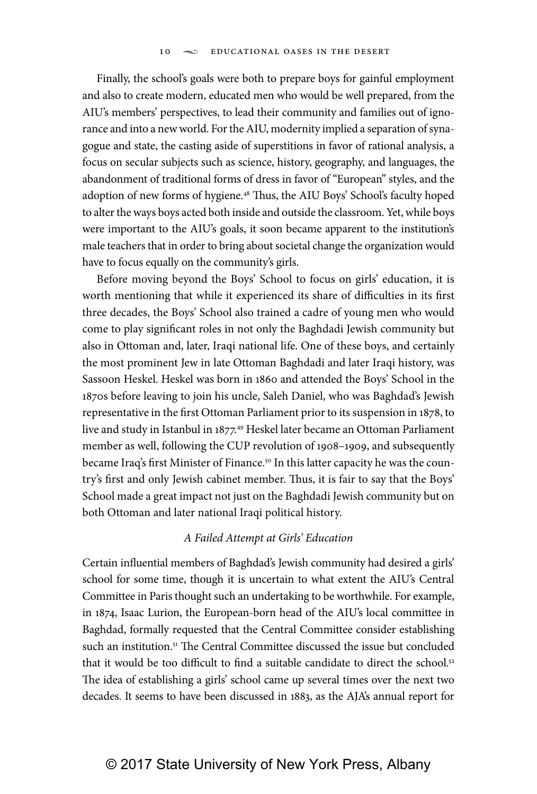Finally, the school's goals were both to prepare boys for gainful employment and also to create modern, educated men who would be well prepared, from the AIU's members' perspectives, to lead their community and families out of ignorance and into a new world. For the AIU, modernity implied a separation of synagogue and state, the casting aside of superstitions in favor of rational analysis, a focus on secular subjects such as science, history, geography, and languages, the abandonment of traditional forms of dress in favor of "European" styles, and the adoption of new forms of hygiene.<sup>48</sup> Thus, the AIU Boys' School's faculty hoped to alter the ways boys acted both inside and outside the classroom. Yet, while boys were important to the AIU's goals, it soon became apparent to the institution's male teachers that in order to bring about societal change the organization would have to focus equally on the community's girls.

Before moving beyond the Boys' School to focus on girls' education, it is worth mentioning that while it experienced its share of difficulties in its first three decades, the Boys' School also trained a cadre of young men who would come to play significant roles in not only the Baghdadi Jewish community but also in Ottoman and, later, Iraqi national life. One of these boys, and certainly the most prominent Jew in late Ottoman Baghdadi and later Iraqi history, was Sassoon Heskel. Heskel was born in 1860 and attended the Boys' School in the 1870s before leaving to join his uncle, Saleh Daniel, who was Baghdad's Jewish representative in the first Ottoman Parliament prior to its suspension in 1878, to live and study in Istanbul in 1877.<sup>49</sup> Heskel later became an Ottoman Parliament member as well, following the CUP revolution of 1908–1909, and subsequently became Iraq's first Minister of Finance.<sup>50</sup> In this latter capacity he was the country's first and only Jewish cabinet member. Thus, it is fair to say that the Boys' School made a great impact not just on the Baghdadi Jewish community but on both Ottoman and later national Iraqi political history.

### *A Failed Attempt at Girls' Education*

Certain influential members of Baghdad's Jewish community had desired a girls' school for some time, though it is uncertain to what extent the AIU's Central Committee in Paris thought such an undertaking to be worthwhile. For example, in 1874, Isaac Lurion, the European-born head of the AIU's local committee in Baghdad, formally requested that the Central Committee consider establishing such an institution.<sup>51</sup> The Central Committee discussed the issue but concluded that it would be too difficult to find a suitable candidate to direct the school.<sup>52</sup> The idea of establishing a girls' school came up several times over the next two decades. It seems to have been discussed in 1883, as the AJA's annual report for

## © 2017 State University of New York Press, Albany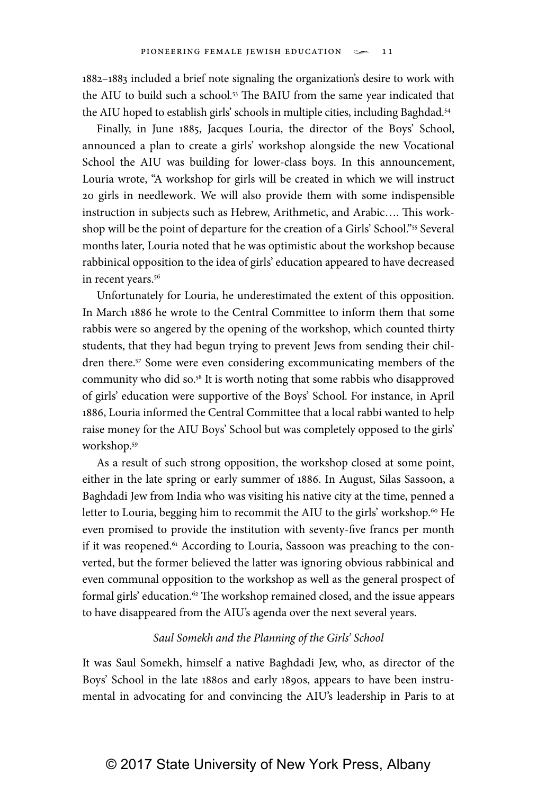1882–1883 included a brief note signaling the organization's desire to work with the AIU to build such a school.<sup>53</sup> The BAIU from the same year indicated that the AIU hoped to establish girls' schools in multiple cities, including Baghdad.<sup>54</sup>

Finally, in June 1885, Jacques Louria, the director of the Boys' School, announced a plan to create a girls' workshop alongside the new Vocational School the AIU was building for lower-class boys. In this announcement, Louria wrote, "A workshop for girls will be created in which we will instruct 20 girls in needlework. We will also provide them with some indispensible instruction in subjects such as Hebrew, Arithmetic, and Arabic…. This workshop will be the point of departure for the creation of a Girls' School."<sup>55</sup> Several months later, Louria noted that he was optimistic about the workshop because rabbinical opposition to the idea of girls' education appeared to have decreased in recent years.<sup>56</sup>

Unfortunately for Louria, he underestimated the extent of this opposition. In March 1886 he wrote to the Central Committee to inform them that some rabbis were so angered by the opening of the workshop, which counted thirty students, that they had begun trying to prevent Jews from sending their children there.<sup>57</sup> Some were even considering excommunicating members of the community who did so.<sup>58</sup> It is worth noting that some rabbis who disapproved of girls' education were supportive of the Boys' School. For instance, in April 1886, Louria informed the Central Committee that a local rabbi wanted to help raise money for the AIU Boys' School but was completely opposed to the girls' workshop.<sup>59</sup>

As a result of such strong opposition, the workshop closed at some point, either in the late spring or early summer of 1886. In August, Silas Sassoon, a Baghdadi Jew from India who was visiting his native city at the time, penned a letter to Louria, begging him to recommit the AIU to the girls' workshop.<sup>60</sup> He even promised to provide the institution with seventy-five francs per month if it was reopened.<sup>61</sup> According to Louria, Sassoon was preaching to the converted, but the former believed the latter was ignoring obvious rabbinical and even communal opposition to the workshop as well as the general prospect of formal girls' education.<sup>62</sup> The workshop remained closed, and the issue appears to have disappeared from the AIU's agenda over the next several years.

#### *Saul Somekh and the Planning of the Girls' School*

It was Saul Somekh, himself a native Baghdadi Jew, who, as director of the Boys' School in the late 1880s and early 1890s, appears to have been instrumental in advocating for and convincing the AIU's leadership in Paris to at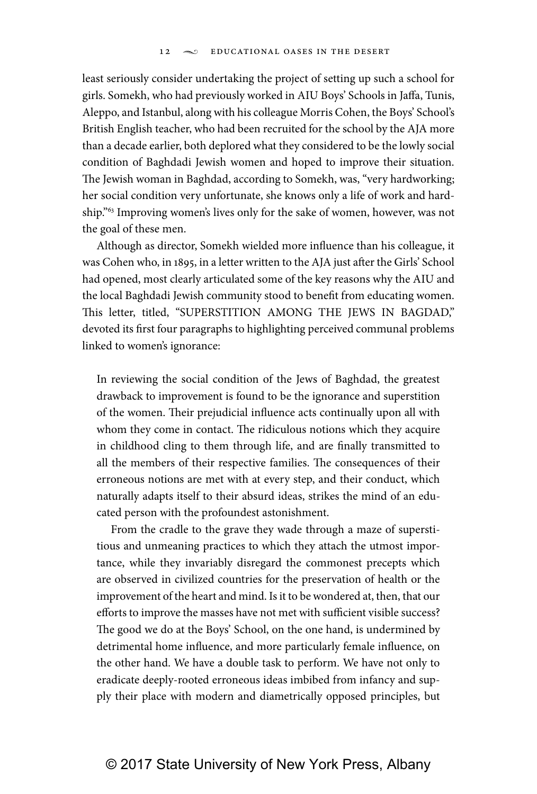least seriously consider undertaking the project of setting up such a school for girls. Somekh, who had previously worked in AIU Boys' Schools in Jaffa, Tunis, Aleppo, and Istanbul, along with his colleague Morris Cohen, the Boys' School's British English teacher, who had been recruited for the school by the AJA more than a decade earlier, both deplored what they considered to be the lowly social condition of Baghdadi Jewish women and hoped to improve their situation. The Jewish woman in Baghdad, according to Somekh, was, "very hardworking; her social condition very unfortunate, she knows only a life of work and hardship."63 Improving women's lives only for the sake of women, however, was not the goal of these men.

Although as director, Somekh wielded more influence than his colleague, it was Cohen who, in 1895, in a letter written to the AJA just after the Girls' School had opened, most clearly articulated some of the key reasons why the AIU and the local Baghdadi Jewish community stood to benefit from educating women. This letter, titled, "SUPERSTITION AMONG THE JEWS IN BAGDAD," devoted its first four paragraphs to highlighting perceived communal problems linked to women's ignorance:

In reviewing the social condition of the Jews of Baghdad, the greatest drawback to improvement is found to be the ignorance and superstition of the women. Their prejudicial influence acts continually upon all with whom they come in contact. The ridiculous notions which they acquire in childhood cling to them through life, and are finally transmitted to all the members of their respective families. The consequences of their erroneous notions are met with at every step, and their conduct, which naturally adapts itself to their absurd ideas, strikes the mind of an educated person with the profoundest astonishment.

From the cradle to the grave they wade through a maze of superstitious and unmeaning practices to which they attach the utmost importance, while they invariably disregard the commonest precepts which are observed in civilized countries for the preservation of health or the improvement of the heart and mind. Is it to be wondered at, then, that our efforts to improve the masses have not met with sufficient visible success? The good we do at the Boys' School, on the one hand, is undermined by detrimental home influence, and more particularly female influence, on the other hand. We have a double task to perform. We have not only to eradicate deeply-rooted erroneous ideas imbibed from infancy and supply their place with modern and diametrically opposed principles, but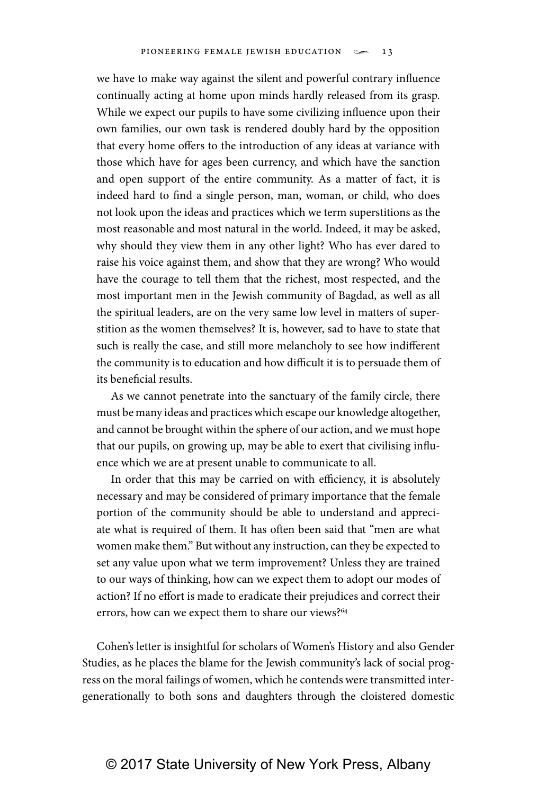we have to make way against the silent and powerful contrary influence continually acting at home upon minds hardly released from its grasp. While we expect our pupils to have some civilizing influence upon their own families, our own task is rendered doubly hard by the opposition that every home offers to the introduction of any ideas at variance with those which have for ages been currency, and which have the sanction and open support of the entire community. As a matter of fact, it is indeed hard to find a single person, man, woman, or child, who does not look upon the ideas and practices which we term superstitions as the most reasonable and most natural in the world. Indeed, it may be asked, why should they view them in any other light? Who has ever dared to raise his voice against them, and show that they are wrong? Who would have the courage to tell them that the richest, most respected, and the most important men in the Jewish community of Bagdad, as well as all the spiritual leaders, are on the very same low level in matters of superstition as the women themselves? It is, however, sad to have to state that such is really the case, and still more melancholy to see how indifferent the community is to education and how difficult it is to persuade them of its beneficial results.

As we cannot penetrate into the sanctuary of the family circle, there must be many ideas and practices which escape our knowledge altogether, and cannot be brought within the sphere of our action, and we must hope that our pupils, on growing up, may be able to exert that civilising influence which we are at present unable to communicate to all.

In order that this may be carried on with efficiency, it is absolutely necessary and may be considered of primary importance that the female portion of the community should be able to understand and appreciate what is required of them. It has often been said that "men are what women make them." But without any instruction, can they be expected to set any value upon what we term improvement? Unless they are trained to our ways of thinking, how can we expect them to adopt our modes of action? If no effort is made to eradicate their prejudices and correct their errors, how can we expect them to share our views?<sup>64</sup>

Cohen's letter is insightful for scholars of Women's History and also Gender Studies, as he places the blame for the Jewish community's lack of social progress on the moral failings of women, which he contends were transmitted intergenerationally to both sons and daughters through the cloistered domestic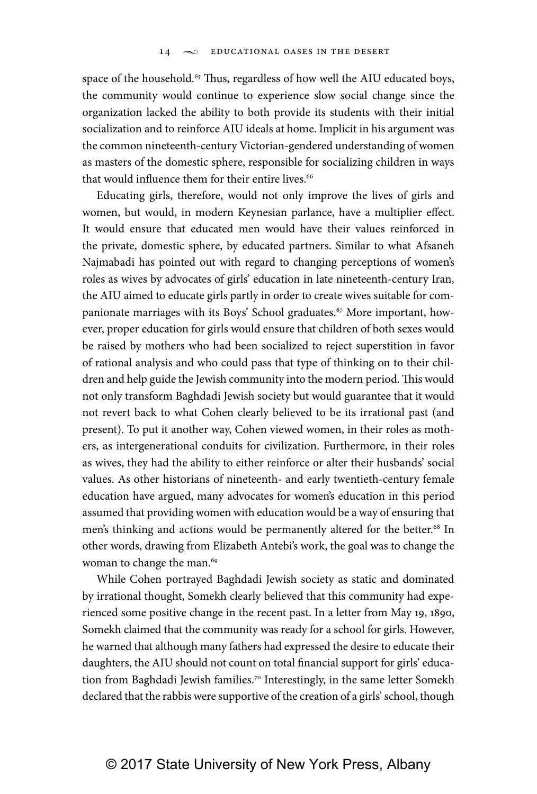space of the household.<sup>65</sup> Thus, regardless of how well the AIU educated boys, the community would continue to experience slow social change since the organization lacked the ability to both provide its students with their initial socialization and to reinforce AIU ideals at home. Implicit in his argument was the common nineteenth-century Victorian-gendered understanding of women as masters of the domestic sphere, responsible for socializing children in ways that would influence them for their entire lives.<sup>66</sup>

Educating girls, therefore, would not only improve the lives of girls and women, but would, in modern Keynesian parlance, have a multiplier effect. It would ensure that educated men would have their values reinforced in the private, domestic sphere, by educated partners. Similar to what Afsaneh Najmabadi has pointed out with regard to changing perceptions of women's roles as wives by advocates of girls' education in late nineteenth-century Iran, the AIU aimed to educate girls partly in order to create wives suitable for companionate marriages with its Boys' School graduates.<sup>67</sup> More important, however, proper education for girls would ensure that children of both sexes would be raised by mothers who had been socialized to reject superstition in favor of rational analysis and who could pass that type of thinking on to their children and help guide the Jewish community into the modern period. This would not only transform Baghdadi Jewish society but would guarantee that it would not revert back to what Cohen clearly believed to be its irrational past (and present). To put it another way, Cohen viewed women, in their roles as mothers, as intergenerational conduits for civilization. Furthermore, in their roles as wives, they had the ability to either reinforce or alter their husbands' social values. As other historians of nineteenth- and early twentieth-century female education have argued, many advocates for women's education in this period assumed that providing women with education would be a way of ensuring that men's thinking and actions would be permanently altered for the better.<sup>68</sup> In other words, drawing from Elizabeth Antebi's work, the goal was to change the woman to change the man.<sup>69</sup>

While Cohen portrayed Baghdadi Jewish society as static and dominated by irrational thought, Somekh clearly believed that this community had experienced some positive change in the recent past. In a letter from May 19, 1890, Somekh claimed that the community was ready for a school for girls. However, he warned that although many fathers had expressed the desire to educate their daughters, the AIU should not count on total financial support for girls' education from Baghdadi Jewish families.<sup>70</sup> Interestingly, in the same letter Somekh declared that the rabbis were supportive of the creation of a girls' school, though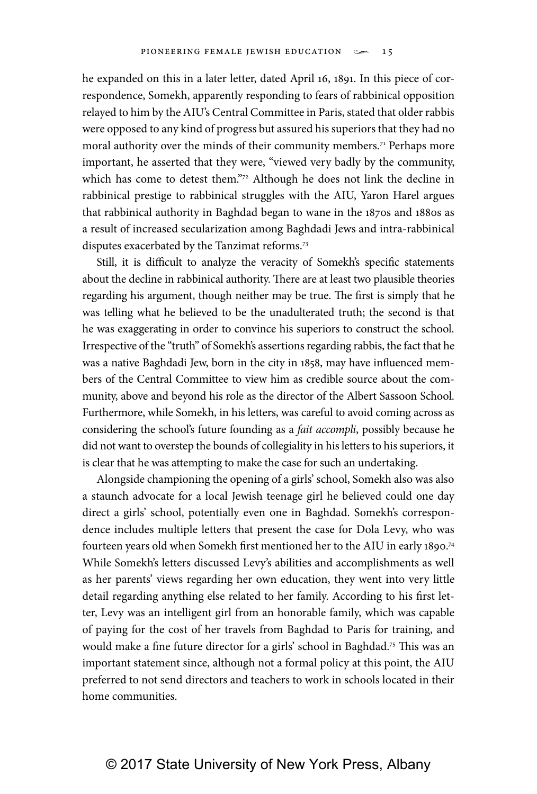he expanded on this in a later letter, dated April 16, 1891. In this piece of correspondence, Somekh, apparently responding to fears of rabbinical opposition relayed to him by the AIU's Central Committee in Paris, stated that older rabbis were opposed to any kind of progress but assured his superiors that they had no moral authority over the minds of their community members.<sup>71</sup> Perhaps more important, he asserted that they were, "viewed very badly by the community, which has come to detest them."72 Although he does not link the decline in rabbinical prestige to rabbinical struggles with the AIU, Yaron Harel argues that rabbinical authority in Baghdad began to wane in the 1870s and 1880s as a result of increased secularization among Baghdadi Jews and intra-rabbinical disputes exacerbated by the Tanzimat reforms.73

Still, it is difficult to analyze the veracity of Somekh's specific statements about the decline in rabbinical authority. There are at least two plausible theories regarding his argument, though neither may be true. The first is simply that he was telling what he believed to be the unadulterated truth; the second is that he was exaggerating in order to convince his superiors to construct the school. Irrespective of the "truth" of Somekh's assertions regarding rabbis, the fact that he was a native Baghdadi Jew, born in the city in 1858, may have influenced members of the Central Committee to view him as credible source about the community, above and beyond his role as the director of the Albert Sassoon School. Furthermore, while Somekh, in his letters, was careful to avoid coming across as considering the school's future founding as a *fait accompli*, possibly because he did not want to overstep the bounds of collegiality in his letters to his superiors, it is clear that he was attempting to make the case for such an undertaking.

Alongside championing the opening of a girls' school, Somekh also was also a staunch advocate for a local Jewish teenage girl he believed could one day direct a girls' school, potentially even one in Baghdad. Somekh's correspondence includes multiple letters that present the case for Dola Levy, who was fourteen years old when Somekh first mentioned her to the AIU in early 1890.74 While Somekh's letters discussed Levy's abilities and accomplishments as well as her parents' views regarding her own education, they went into very little detail regarding anything else related to her family. According to his first letter, Levy was an intelligent girl from an honorable family, which was capable of paying for the cost of her travels from Baghdad to Paris for training, and would make a fine future director for a girls' school in Baghdad.<sup>75</sup> This was an important statement since, although not a formal policy at this point, the AIU preferred to not send directors and teachers to work in schools located in their home communities.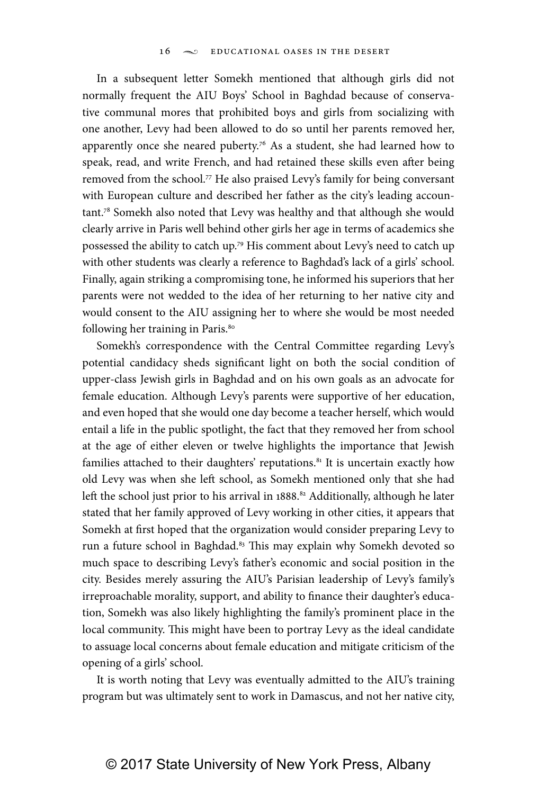In a subsequent letter Somekh mentioned that although girls did not normally frequent the AIU Boys' School in Baghdad because of conservative communal mores that prohibited boys and girls from socializing with one another, Levy had been allowed to do so until her parents removed her, apparently once she neared puberty.<sup>76</sup> As a student, she had learned how to speak, read, and write French, and had retained these skills even after being removed from the school.<sup>77</sup> He also praised Levy's family for being conversant with European culture and described her father as the city's leading accountant.<sup>78</sup> Somekh also noted that Levy was healthy and that although she would clearly arrive in Paris well behind other girls her age in terms of academics she possessed the ability to catch up.79 His comment about Levy's need to catch up with other students was clearly a reference to Baghdad's lack of a girls' school. Finally, again striking a compromising tone, he informed his superiors that her parents were not wedded to the idea of her returning to her native city and would consent to the AIU assigning her to where she would be most needed following her training in Paris.<sup>80</sup>

Somekh's correspondence with the Central Committee regarding Levy's potential candidacy sheds significant light on both the social condition of upper-class Jewish girls in Baghdad and on his own goals as an advocate for female education. Although Levy's parents were supportive of her education, and even hoped that she would one day become a teacher herself, which would entail a life in the public spotlight, the fact that they removed her from school at the age of either eleven or twelve highlights the importance that Jewish families attached to their daughters' reputations.<sup>81</sup> It is uncertain exactly how old Levy was when she left school, as Somekh mentioned only that she had left the school just prior to his arrival in 1888.<sup>82</sup> Additionally, although he later stated that her family approved of Levy working in other cities, it appears that Somekh at first hoped that the organization would consider preparing Levy to run a future school in Baghdad.<sup>83</sup> This may explain why Somekh devoted so much space to describing Levy's father's economic and social position in the city. Besides merely assuring the AIU's Parisian leadership of Levy's family's irreproachable morality, support, and ability to finance their daughter's education, Somekh was also likely highlighting the family's prominent place in the local community. This might have been to portray Levy as the ideal candidate to assuage local concerns about female education and mitigate criticism of the opening of a girls' school.

It is worth noting that Levy was eventually admitted to the AIU's training program but was ultimately sent to work in Damascus, and not her native city,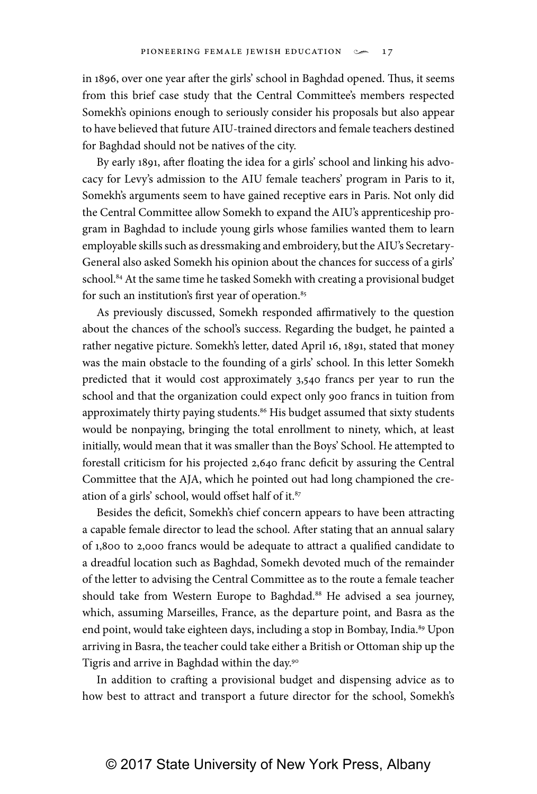in 1896, over one year after the girls' school in Baghdad opened. Thus, it seems from this brief case study that the Central Committee's members respected Somekh's opinions enough to seriously consider his proposals but also appear to have believed that future AIU-trained directors and female teachers destined for Baghdad should not be natives of the city.

By early 1891, after floating the idea for a girls' school and linking his advocacy for Levy's admission to the AIU female teachers' program in Paris to it, Somekh's arguments seem to have gained receptive ears in Paris. Not only did the Central Committee allow Somekh to expand the AIU's apprenticeship program in Baghdad to include young girls whose families wanted them to learn employable skills such as dressmaking and embroidery, but the AIU's Secretary-General also asked Somekh his opinion about the chances for success of a girls' school.<sup>84</sup> At the same time he tasked Somekh with creating a provisional budget for such an institution's first year of operation.<sup>85</sup>

As previously discussed, Somekh responded affirmatively to the question about the chances of the school's success. Regarding the budget, he painted a rather negative picture. Somekh's letter, dated April 16, 1891, stated that money was the main obstacle to the founding of a girls' school. In this letter Somekh predicted that it would cost approximately 3,540 francs per year to run the school and that the organization could expect only 900 francs in tuition from approximately thirty paying students.<sup>86</sup> His budget assumed that sixty students would be nonpaying, bringing the total enrollment to ninety, which, at least initially, would mean that it was smaller than the Boys' School. He attempted to forestall criticism for his projected 2,640 franc deficit by assuring the Central Committee that the AJA, which he pointed out had long championed the creation of a girls' school, would offset half of it.87

Besides the deficit, Somekh's chief concern appears to have been attracting a capable female director to lead the school. After stating that an annual salary of 1,800 to 2,000 francs would be adequate to attract a qualified candidate to a dreadful location such as Baghdad, Somekh devoted much of the remainder of the letter to advising the Central Committee as to the route a female teacher should take from Western Europe to Baghdad.<sup>88</sup> He advised a sea journey, which, assuming Marseilles, France, as the departure point, and Basra as the end point, would take eighteen days, including a stop in Bombay, India.<sup>89</sup> Upon arriving in Basra, the teacher could take either a British or Ottoman ship up the Tigris and arrive in Baghdad within the day.<sup>90</sup>

In addition to crafting a provisional budget and dispensing advice as to how best to attract and transport a future director for the school, Somekh's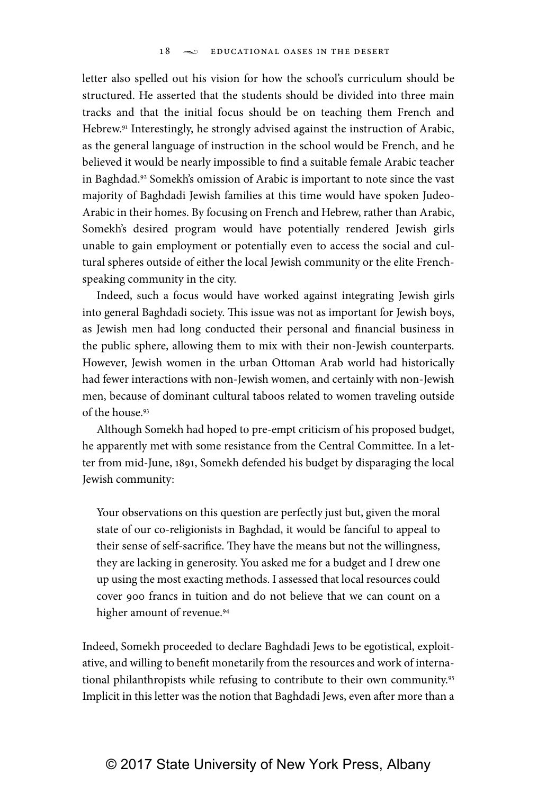letter also spelled out his vision for how the school's curriculum should be structured. He asserted that the students should be divided into three main tracks and that the initial focus should be on teaching them French and Hebrew.91 Interestingly, he strongly advised against the instruction of Arabic, as the general language of instruction in the school would be French, and he believed it would be nearly impossible to find a suitable female Arabic teacher in Baghdad.92 Somekh's omission of Arabic is important to note since the vast majority of Baghdadi Jewish families at this time would have spoken Judeo-Arabic in their homes. By focusing on French and Hebrew, rather than Arabic, Somekh's desired program would have potentially rendered Jewish girls unable to gain employment or potentially even to access the social and cultural spheres outside of either the local Jewish community or the elite Frenchspeaking community in the city.

Indeed, such a focus would have worked against integrating Jewish girls into general Baghdadi society. This issue was not as important for Jewish boys, as Jewish men had long conducted their personal and financial business in the public sphere, allowing them to mix with their non-Jewish counterparts. However, Jewish women in the urban Ottoman Arab world had historically had fewer interactions with non-Jewish women, and certainly with non-Jewish men, because of dominant cultural taboos related to women traveling outside of the house.<sup>93</sup>

Although Somekh had hoped to pre-empt criticism of his proposed budget, he apparently met with some resistance from the Central Committee. In a letter from mid-June, 1891, Somekh defended his budget by disparaging the local Jewish community:

Your observations on this question are perfectly just but, given the moral state of our co-religionists in Baghdad, it would be fanciful to appeal to their sense of self-sacrifice. They have the means but not the willingness, they are lacking in generosity. You asked me for a budget and I drew one up using the most exacting methods. I assessed that local resources could cover 900 francs in tuition and do not believe that we can count on a higher amount of revenue.<sup>94</sup>

Indeed, Somekh proceeded to declare Baghdadi Jews to be egotistical, exploitative, and willing to benefit monetarily from the resources and work of international philanthropists while refusing to contribute to their own community.<sup>95</sup> Implicit in this letter was the notion that Baghdadi Jews, even after more than a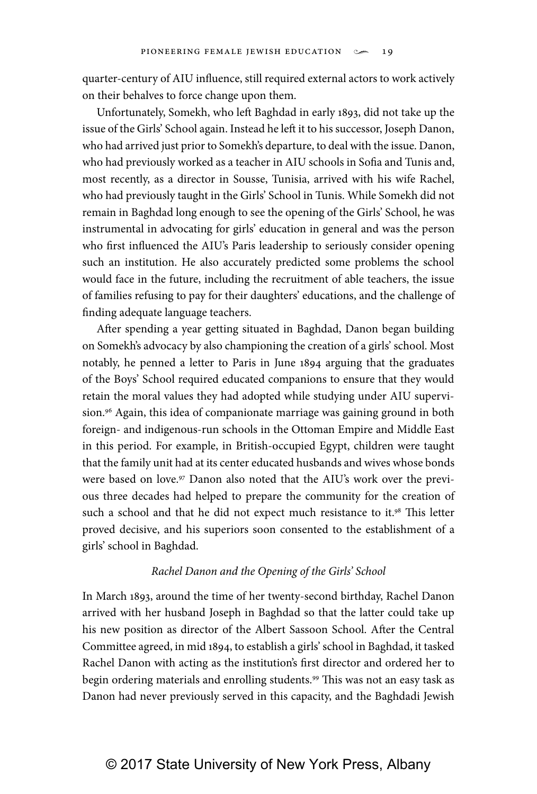quarter-century of AIU influence, still required external actors to work actively on their behalves to force change upon them.

Unfortunately, Somekh, who left Baghdad in early 1893, did not take up the issue of the Girls' School again. Instead he left it to his successor, Joseph Danon, who had arrived just prior to Somekh's departure, to deal with the issue. Danon, who had previously worked as a teacher in AIU schools in Sofia and Tunis and, most recently, as a director in Sousse, Tunisia, arrived with his wife Rachel, who had previously taught in the Girls' School in Tunis. While Somekh did not remain in Baghdad long enough to see the opening of the Girls' School, he was instrumental in advocating for girls' education in general and was the person who first influenced the AIU's Paris leadership to seriously consider opening such an institution. He also accurately predicted some problems the school would face in the future, including the recruitment of able teachers, the issue of families refusing to pay for their daughters' educations, and the challenge of finding adequate language teachers.

After spending a year getting situated in Baghdad, Danon began building on Somekh's advocacy by also championing the creation of a girls' school. Most notably, he penned a letter to Paris in June 1894 arguing that the graduates of the Boys' School required educated companions to ensure that they would retain the moral values they had adopted while studying under AIU supervision.<sup>96</sup> Again, this idea of companionate marriage was gaining ground in both foreign- and indigenous-run schools in the Ottoman Empire and Middle East in this period. For example, in British-occupied Egypt, children were taught that the family unit had at its center educated husbands and wives whose bonds were based on love.<sup>97</sup> Danon also noted that the AIU's work over the previous three decades had helped to prepare the community for the creation of such a school and that he did not expect much resistance to it.<sup>98</sup> This letter proved decisive, and his superiors soon consented to the establishment of a girls' school in Baghdad.

# *Rachel Danon and the Opening of the Girls' School*

In March 1893, around the time of her twenty-second birthday, Rachel Danon arrived with her husband Joseph in Baghdad so that the latter could take up his new position as director of the Albert Sassoon School. After the Central Committee agreed, in mid 1894, to establish a girls' school in Baghdad, it tasked Rachel Danon with acting as the institution's first director and ordered her to begin ordering materials and enrolling students.<sup>99</sup> This was not an easy task as Danon had never previously served in this capacity, and the Baghdadi Jewish